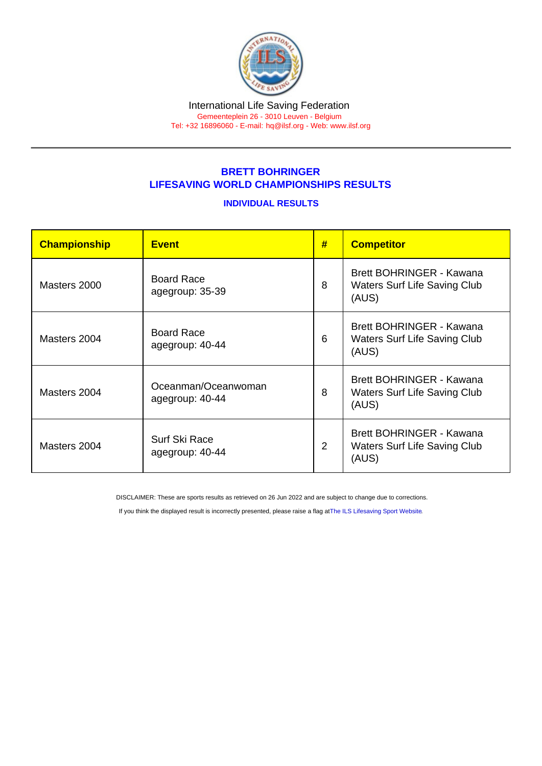## BRETT BOHRINGER LIFESAVING WORLD CHAMPIONSHIPS RESULTS

## INDIVIDUAL RESULTS

| Championship | <b>Event</b>                           | #              | <b>Competitor</b>                                                        |
|--------------|----------------------------------------|----------------|--------------------------------------------------------------------------|
| Masters 2000 | <b>Board Race</b><br>agegroup: 35-39   | 8              | Brett BOHRINGER - Kawana<br><b>Waters Surf Life Saving Club</b><br>(AUS) |
| Masters 2004 | Board Race<br>agegroup: 40-44          | 6              | Brett BOHRINGER - Kawana<br><b>Waters Surf Life Saving Club</b><br>(AUS) |
| Masters 2004 | Oceanman/Oceanwoman<br>agegroup: 40-44 | 8              | Brett BOHRINGER - Kawana<br><b>Waters Surf Life Saving Club</b><br>(AUS) |
| Masters 2004 | Surf Ski Race<br>agegroup: 40-44       | $\overline{2}$ | Brett BOHRINGER - Kawana<br><b>Waters Surf Life Saving Club</b><br>(AUS) |

DISCLAIMER: These are sports results as retrieved on 26 Jun 2022 and are subject to change due to corrections.

If you think the displayed result is incorrectly presented, please raise a flag at [The ILS Lifesaving Sport Website.](https://sport.ilsf.org)